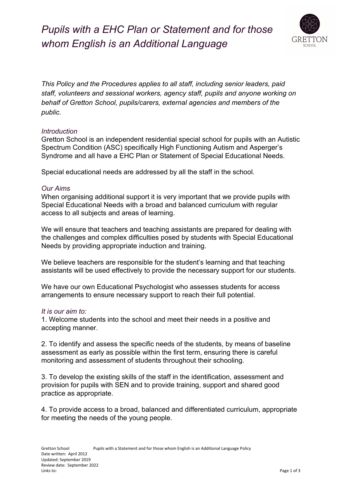# *Pupils with a EHC Plan or Statement and for those whom English is an Additional Language*



*This Policy and the Procedures applies to all staff, including senior leaders, paid staff, volunteers and sessional workers, agency staff, pupils and anyone working on behalf of Gretton School, pupils/carers, external agencies and members of the public.*

### *Introduction*

Gretton School is an independent residential special school for pupils with an Autistic Spectrum Condition (ASC) specifically High Functioning Autism and Asperger's Syndrome and all have a EHC Plan or Statement of Special Educational Needs.

Special educational needs are addressed by all the staff in the school.

### *Our Aims*

When organising additional support it is very important that we provide pupils with Special Educational Needs with a broad and balanced curriculum with regular access to all subjects and areas of learning.

We will ensure that teachers and teaching assistants are prepared for dealing with the challenges and complex difficulties posed by students with Special Educational Needs by providing appropriate induction and training.

We believe teachers are responsible for the student's learning and that teaching assistants will be used effectively to provide the necessary support for our students.

We have our own Educational Psychologist who assesses students for access arrangements to ensure necessary support to reach their full potential.

### *It is our aim to:*

1. Welcome students into the school and meet their needs in a positive and accepting manner.

2. To identify and assess the specific needs of the students, by means of baseline assessment as early as possible within the first term, ensuring there is careful monitoring and assessment of students throughout their schooling.

3. To develop the existing skills of the staff in the identification, assessment and provision for pupils with SEN and to provide training, support and shared good practice as appropriate.

4. To provide access to a broad, balanced and differentiated curriculum, appropriate for meeting the needs of the young people.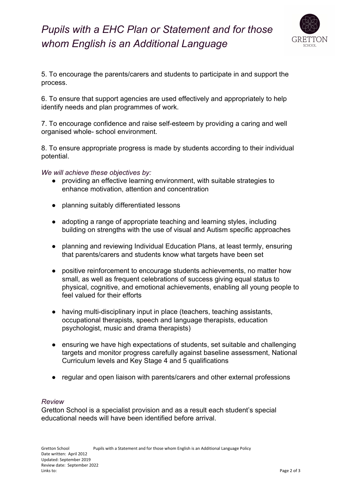## *Pupils with a EHC Plan or Statement and for those whom English is an Additional Language*



5. To encourage the parents/carers and students to participate in and support the process.

6. To ensure that support agencies are used effectively and appropriately to help identify needs and plan programmes of work.

7. To encourage confidence and raise self-esteem by providing a caring and well organised whole- school environment.

8. To ensure appropriate progress is made by students according to their individual potential.

*We will achieve these objectives by:*

- providing an effective learning environment, with suitable strategies to enhance motivation, attention and concentration
- planning suitably differentiated lessons
- adopting a range of appropriate teaching and learning styles, including building on strengths with the use of visual and Autism specific approaches
- planning and reviewing Individual Education Plans, at least termly, ensuring that parents/carers and students know what targets have been set
- positive reinforcement to encourage students achievements, no matter how small, as well as frequent celebrations of success giving equal status to physical, cognitive, and emotional achievements, enabling all young people to feel valued for their efforts
- having multi-disciplinary input in place (teachers, teaching assistants, occupational therapists, speech and language therapists, education psychologist, music and drama therapists)
- ensuring we have high expectations of students, set suitable and challenging targets and monitor progress carefully against baseline assessment, National Curriculum levels and Key Stage 4 and 5 qualifications
- regular and open liaison with parents/carers and other external professions

### *Review*

Gretton School is a specialist provision and as a result each student's special educational needs will have been identified before arrival.